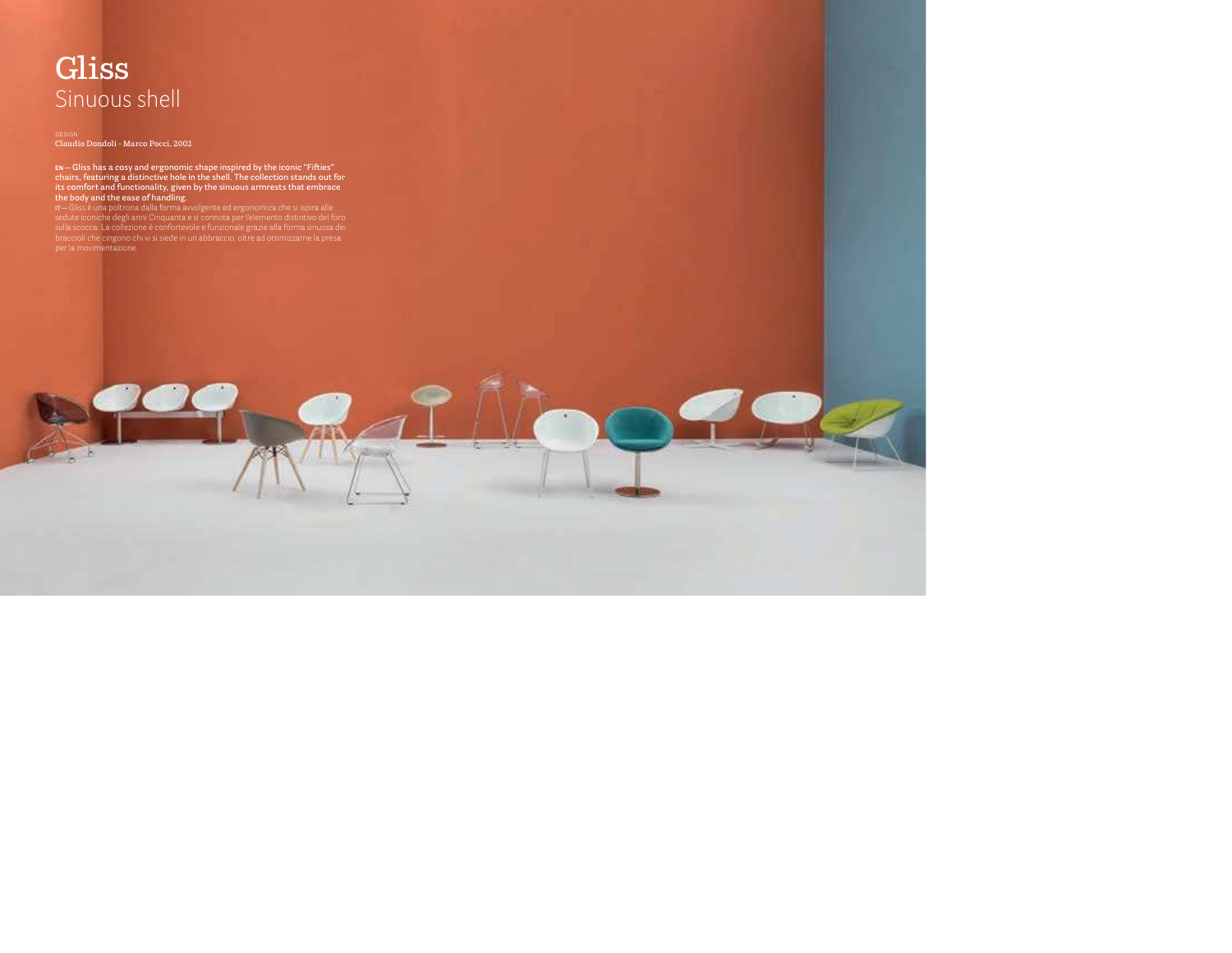# **Gliss** Sinuous shell

**Claudio Dondoli - Marco Pocci, 2002**

EN—Gliss has a cosy and ergonomic shape inspired by the iconic "Fifties"<br>chairs, featuring a distinctive hole in the shell. The collection stands out for<br>its comfort and functionality, given by the sinuous armrests that em **the body and the ease of handling.** 

**IT —** Gliss è una poltrona dalla forma avvolgente ed ergonomica che si ispira alle<br>sedute iconiche degli anni Cinquanta e si connota per l'elemento distintivo del foro [sulla scocca. La collezione è confortevole e funzionale grazie alla forma sinuosa dei](https://stfsedie.it/prodotto/art-gliss/)  braccioli che cingono chi vi si siede in un abbraccio, oltre ad ottimizzarne la presa per la movimentazione.

nit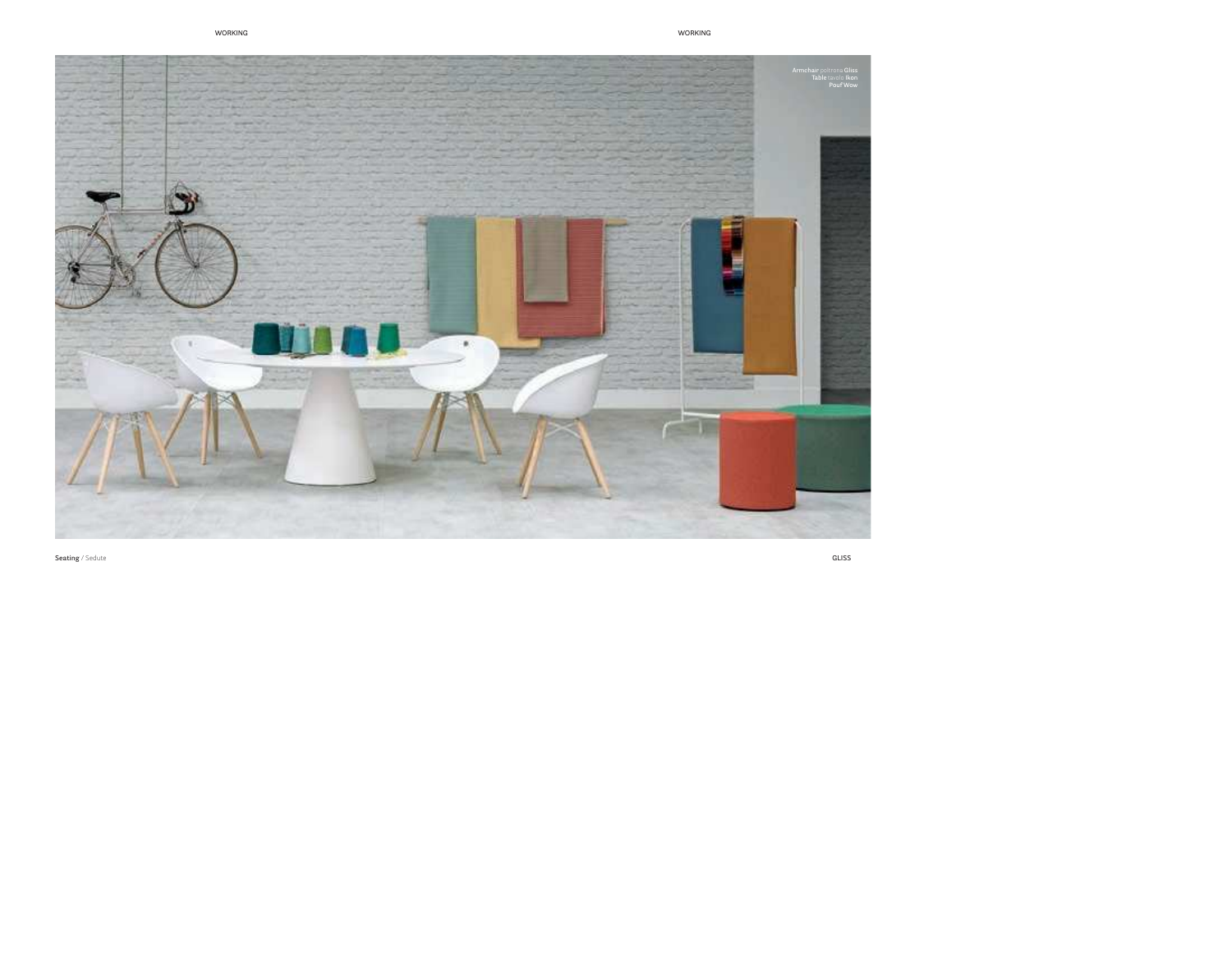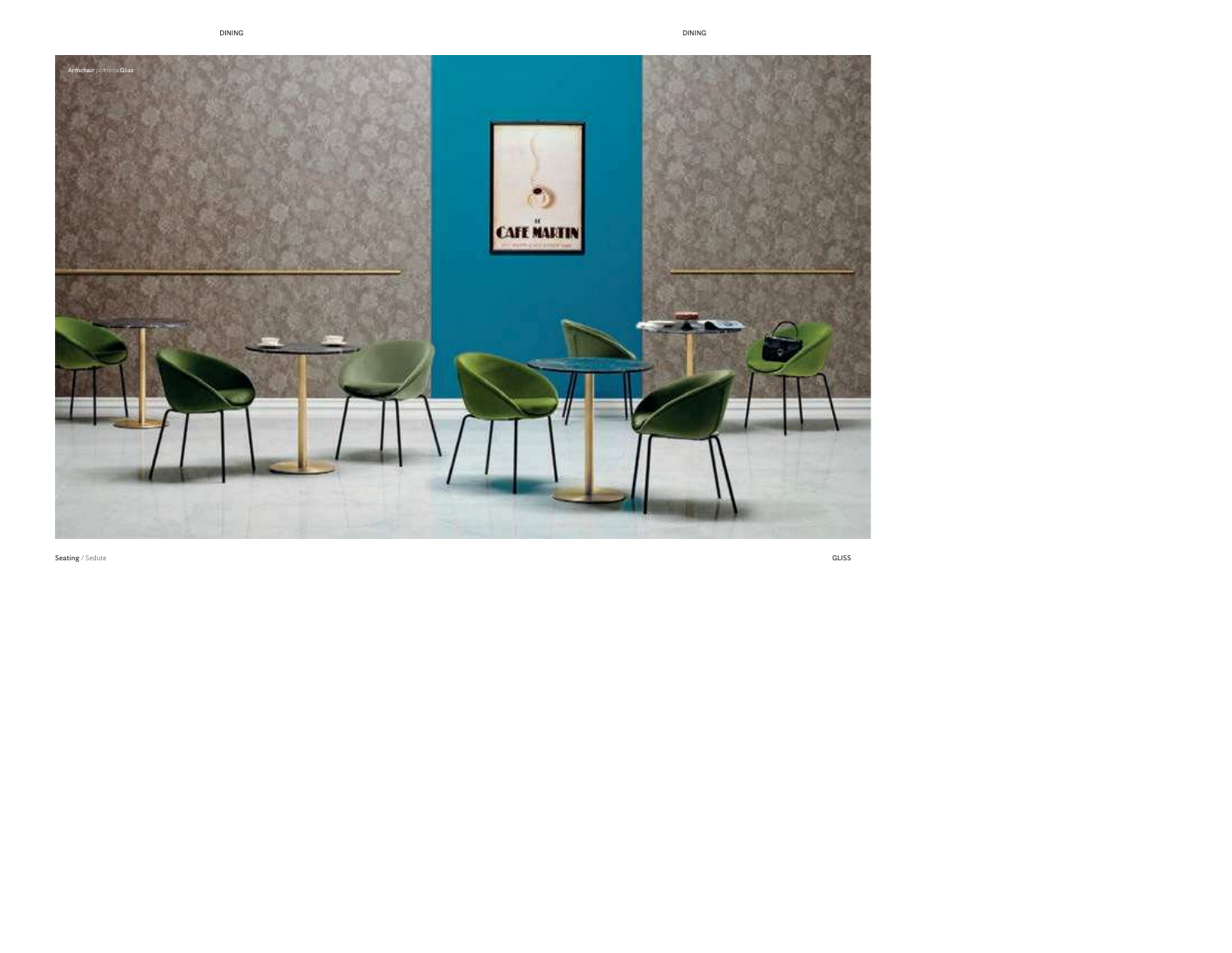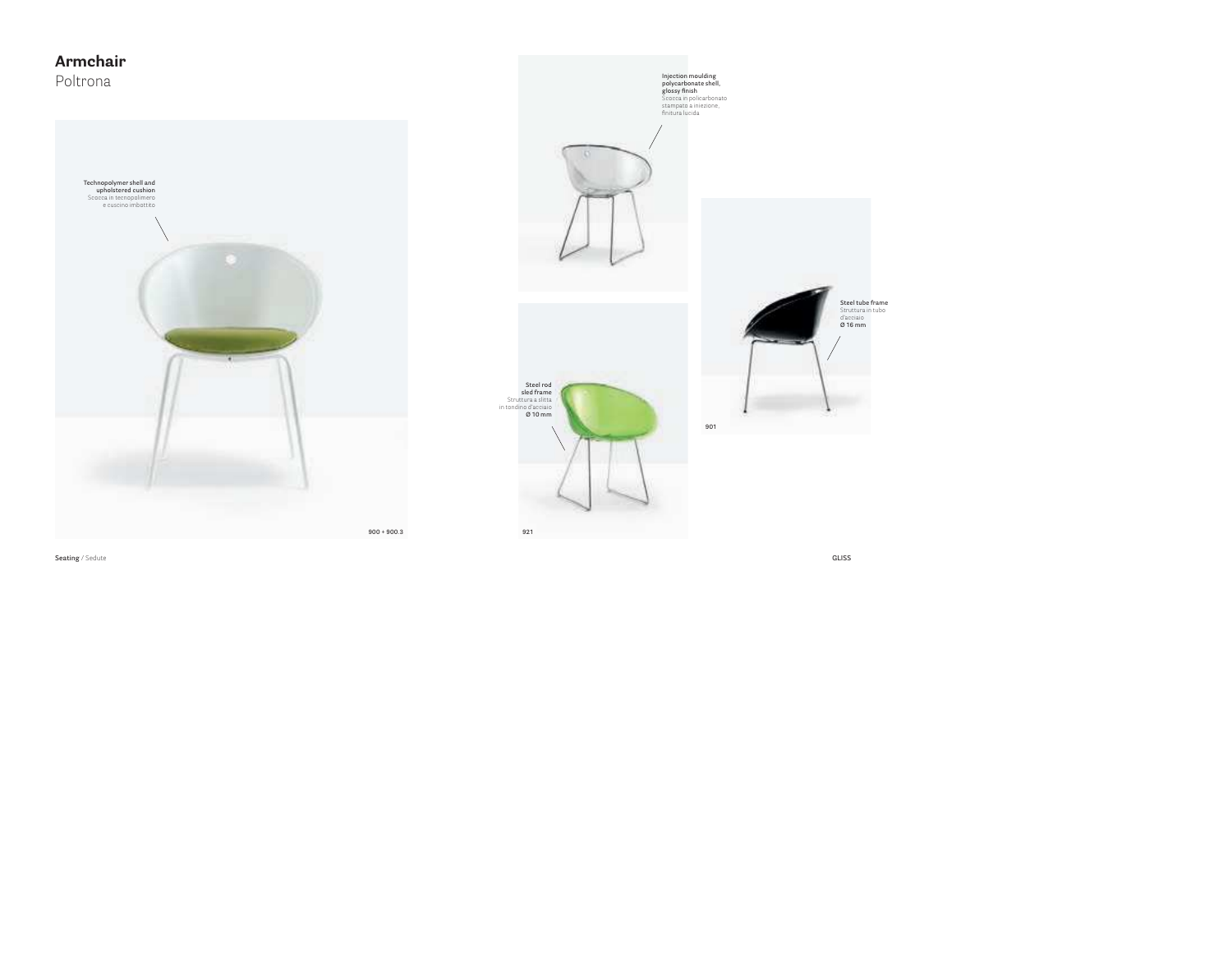## **Armchair**Poltrona



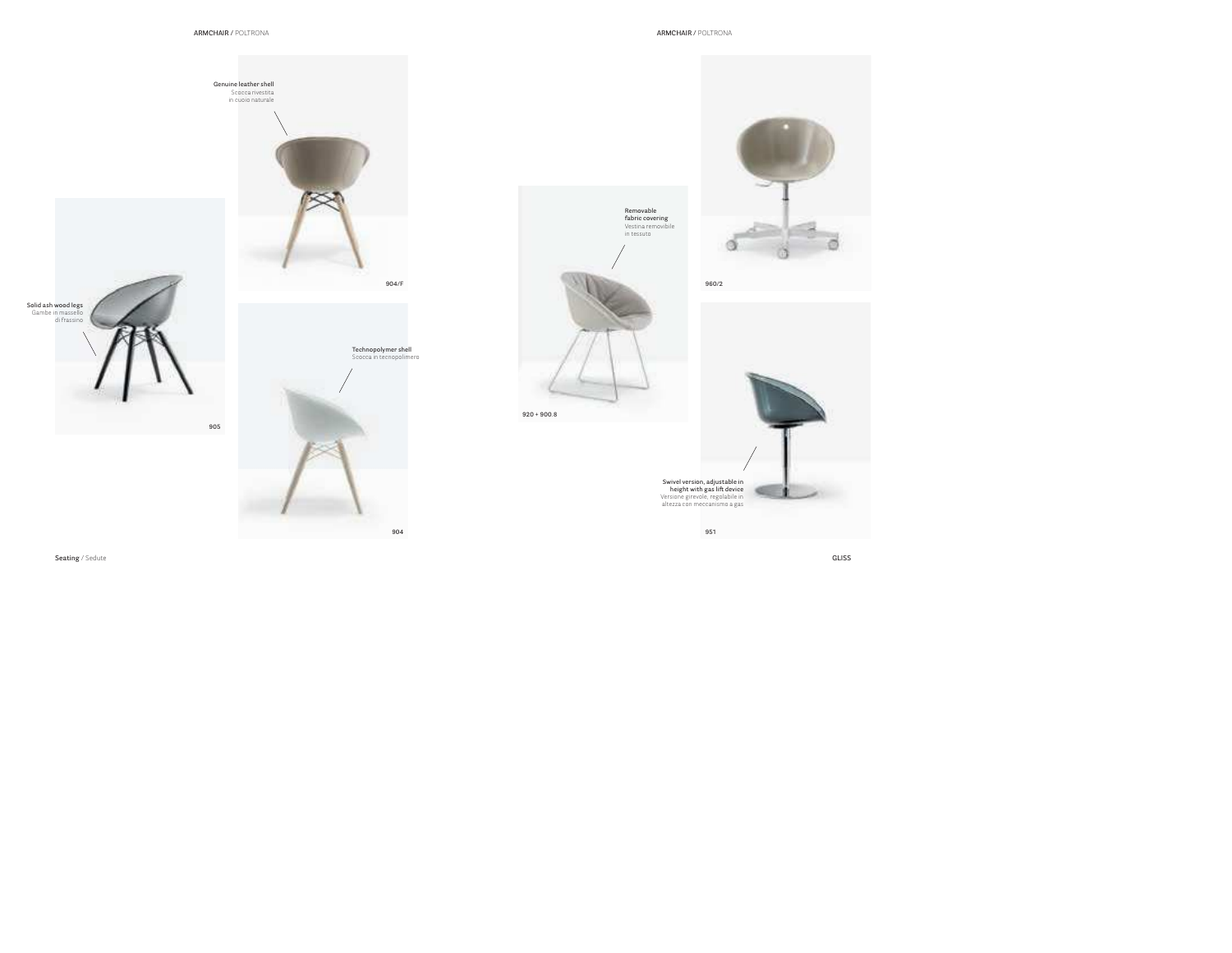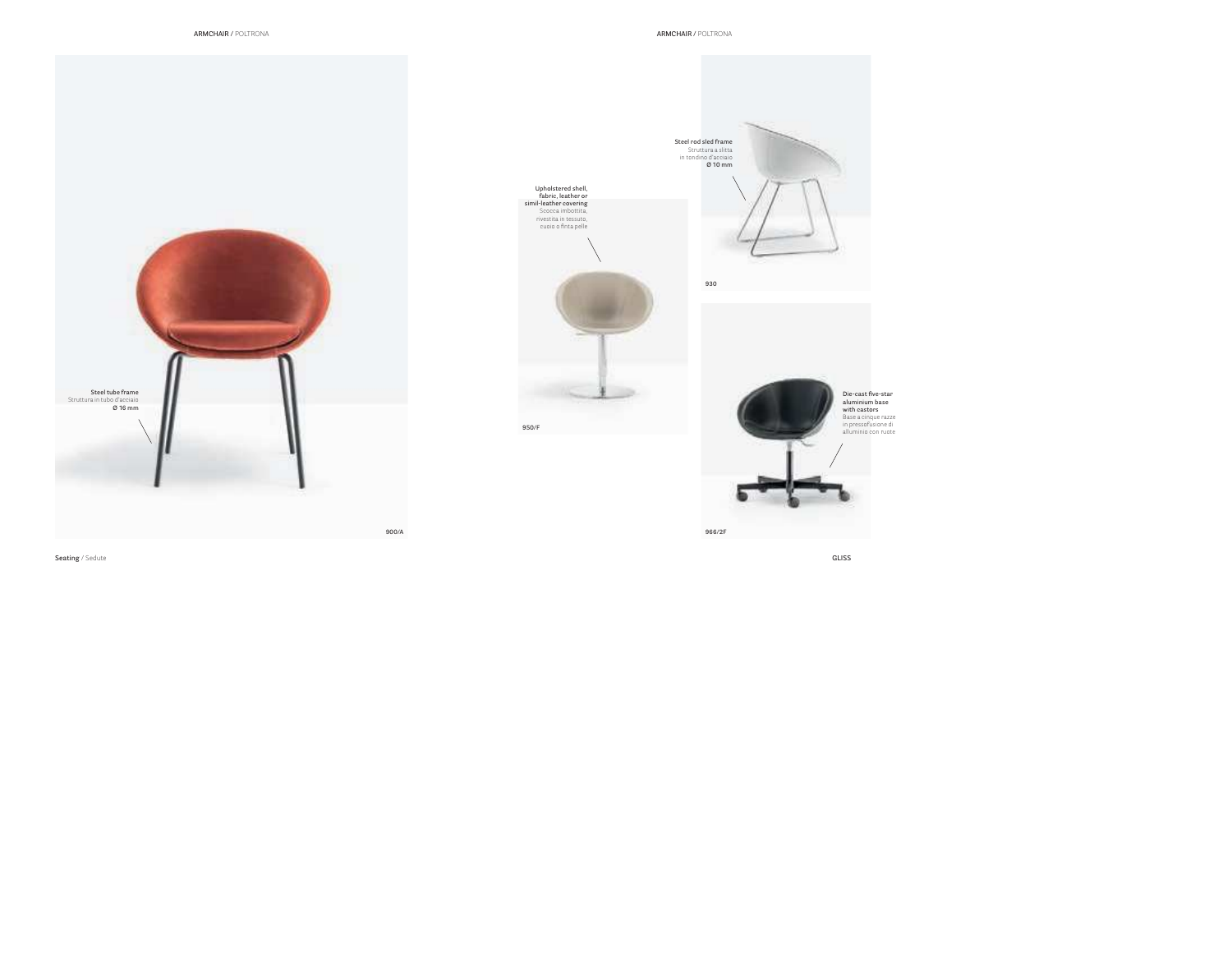**930**

 Stru[ttura a slitta](https://stfsedie.it/prodotto/art-gliss/) in tondino d'acciaio **Ø 10 mm**



**Die-cast fi ve-star aluminium base with castors**...... .........<br>Base a cinque razze [in pressofu](https://stfsedie.it/prodotto/art-gliss/)sione di alluminio con ruote

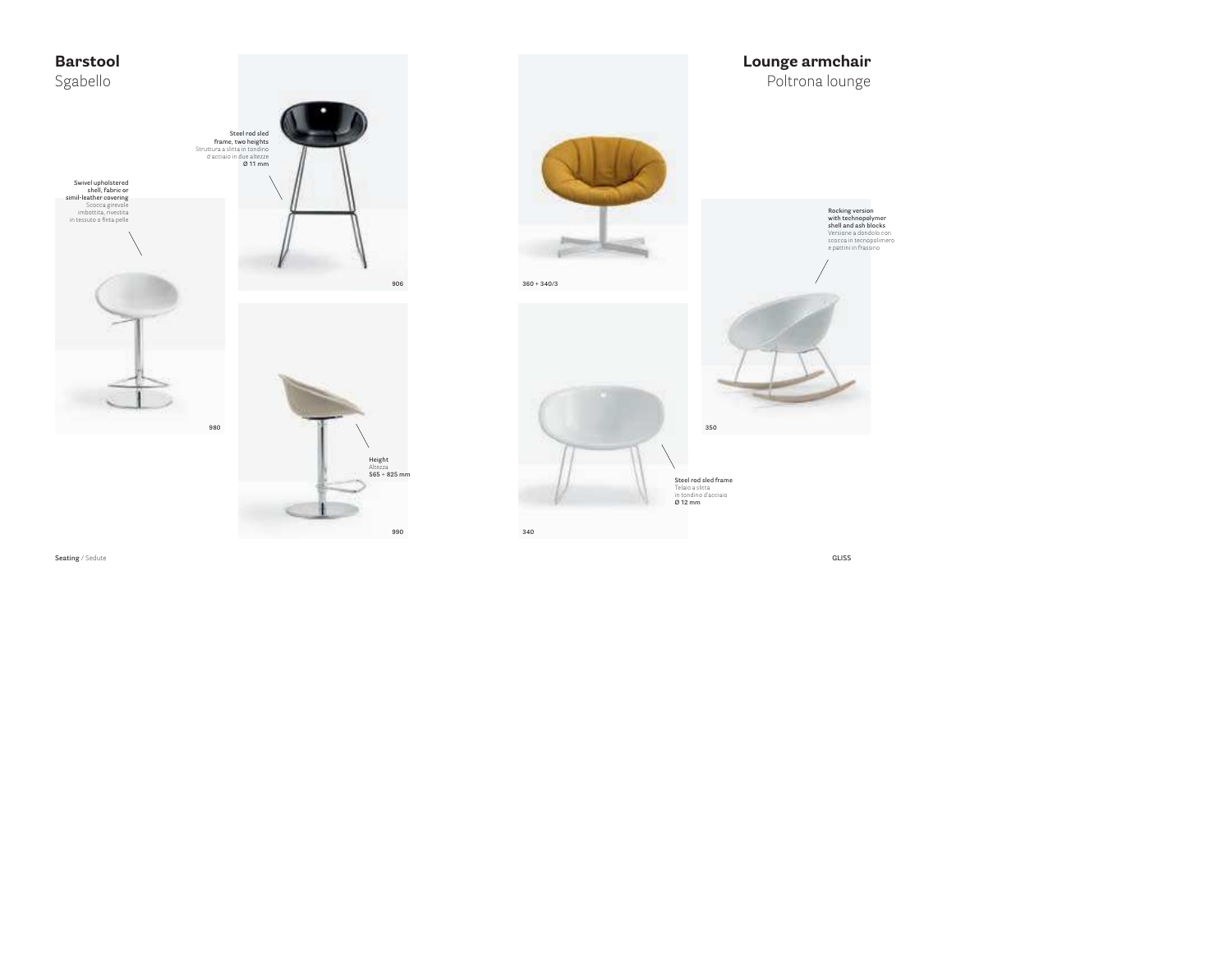

**Rocking version [with technopoly](https://stfsedie.it/prodotto/art-gliss/)mer shell and ash blocks** Versione a dondolo con scocca in tecnopolimero e pattini in frassino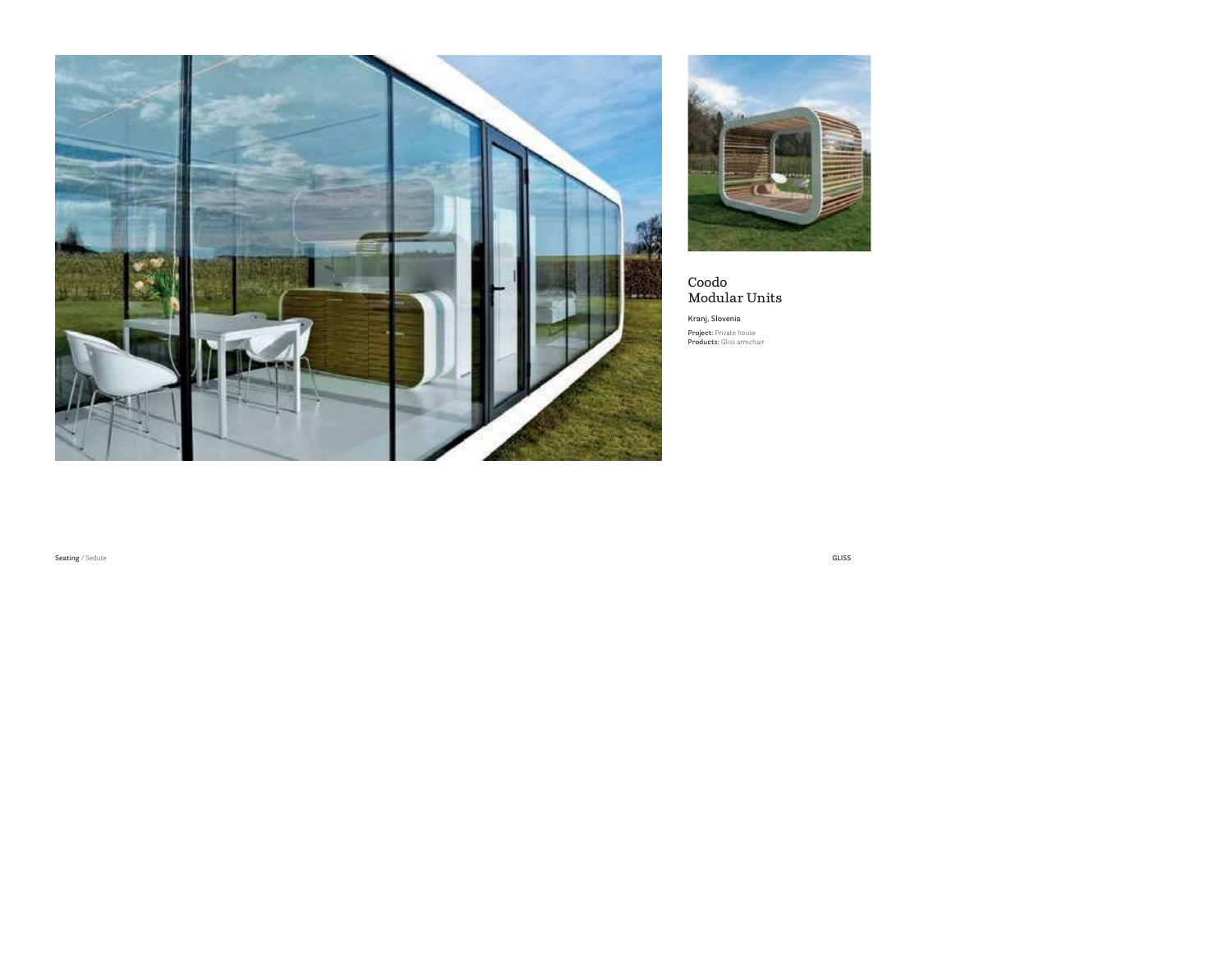



### **Coodo Modular Units**

**Kranj, Slovenia**

**Project:** Private house **Products:** Gliss armchair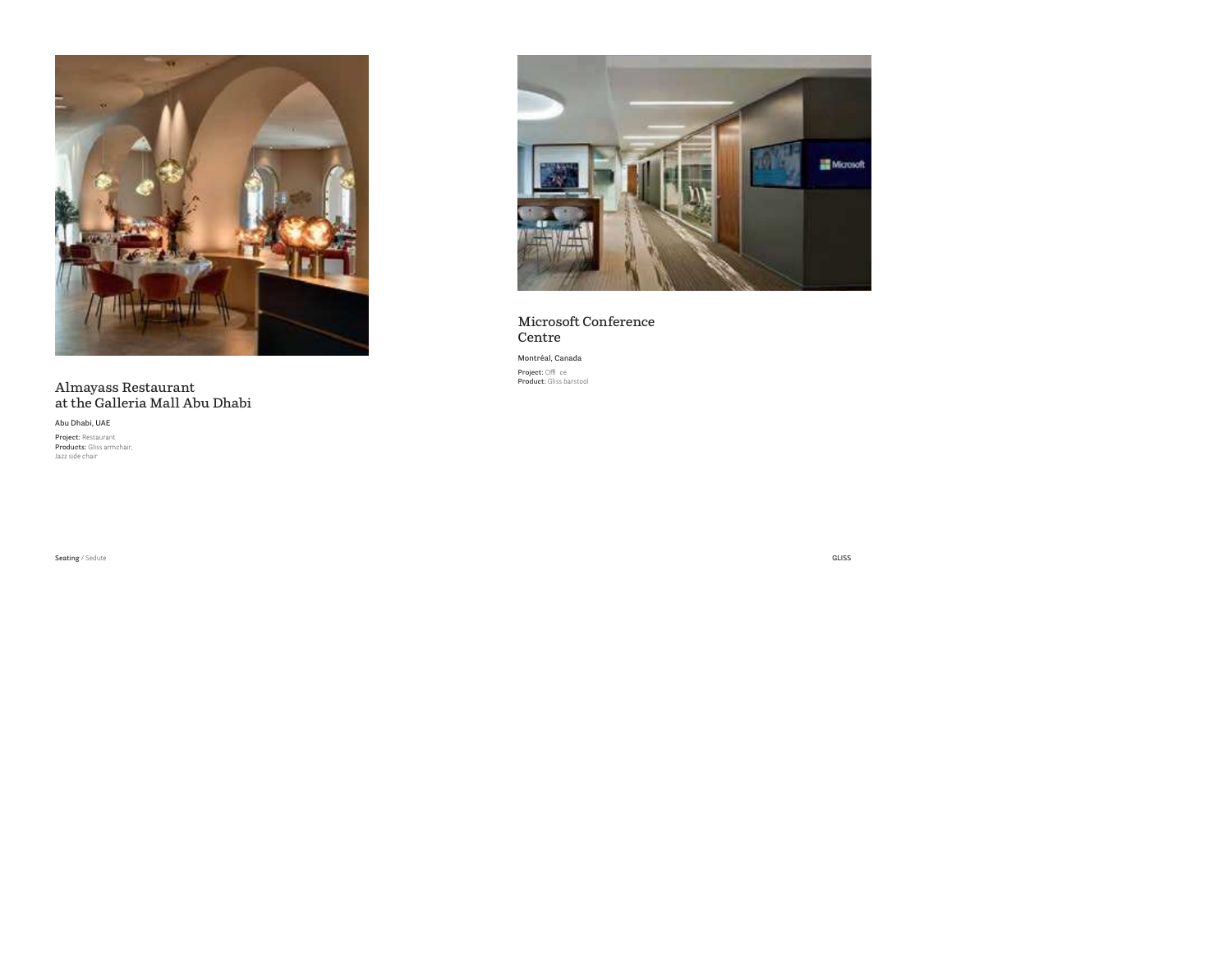

Almayass Restaurant<br>at the Galleria Mall Abu Dhabi

Abu Dhabi, UAE

Project: Restaurant Products: Gliss armchair lazz side chair



### Microsoft Conference Centre

#### Montréal, Canada

Project: Office **Product:** Gliss barstool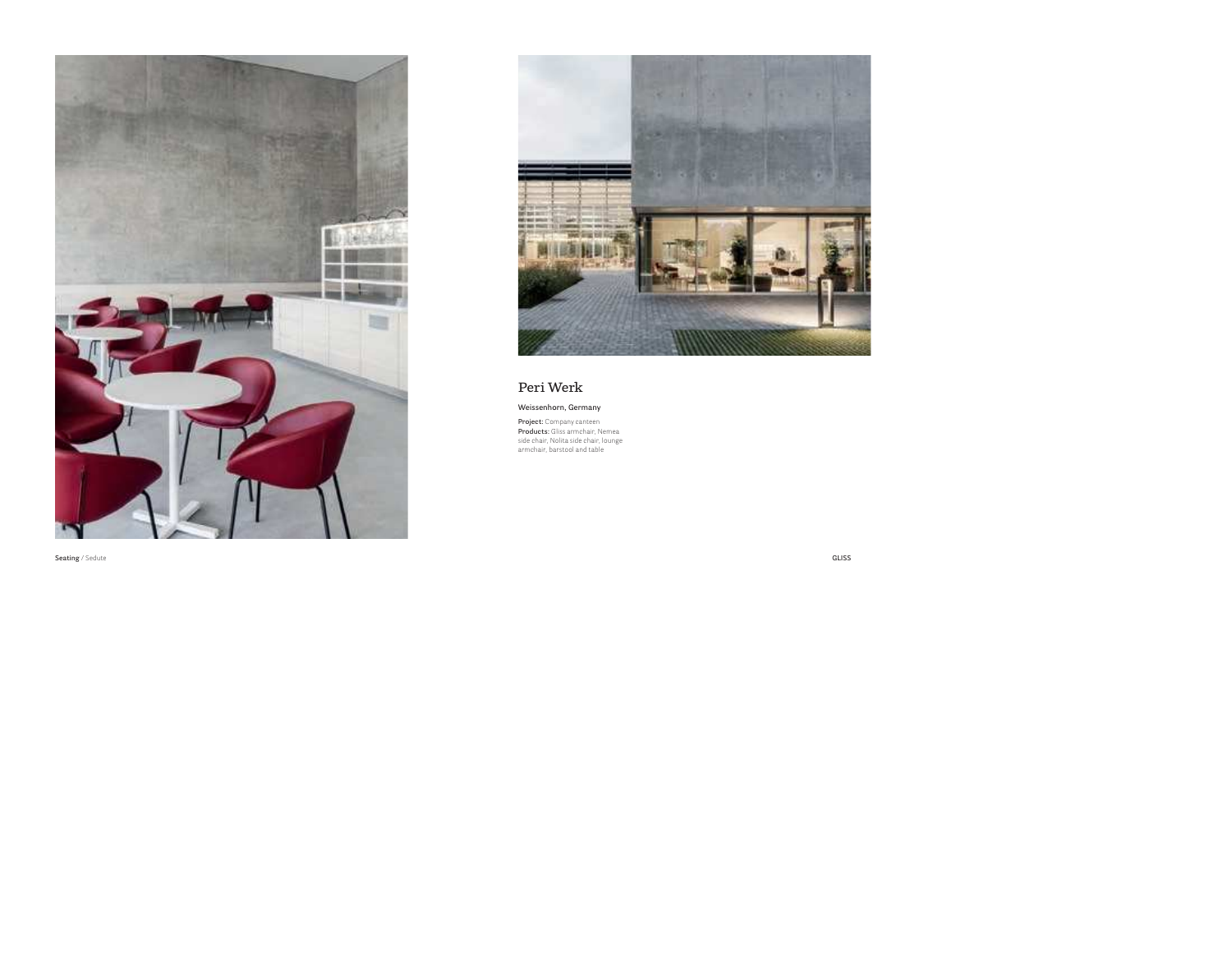



### **Peri Werk**

#### **Weissenhorn, Germany**

**Project:** Company canteen **Products:** Gliss armchair, Nemea side chair, Nolita side chair, lounge armchair, barstool and table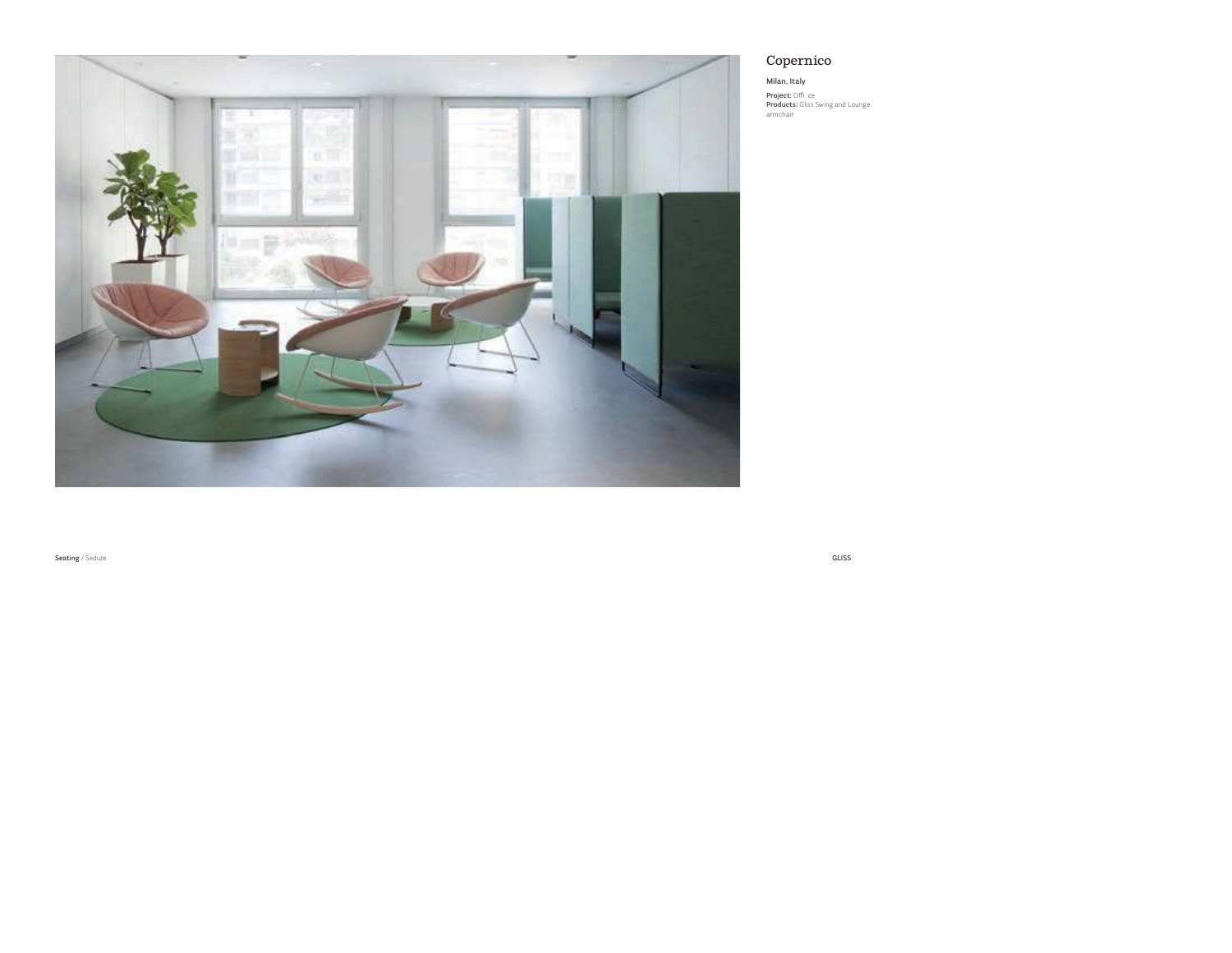

### Copernico

### Milan, Italy

**Project:** Office<br>**Products:** Gliss Swing and Lounge armchair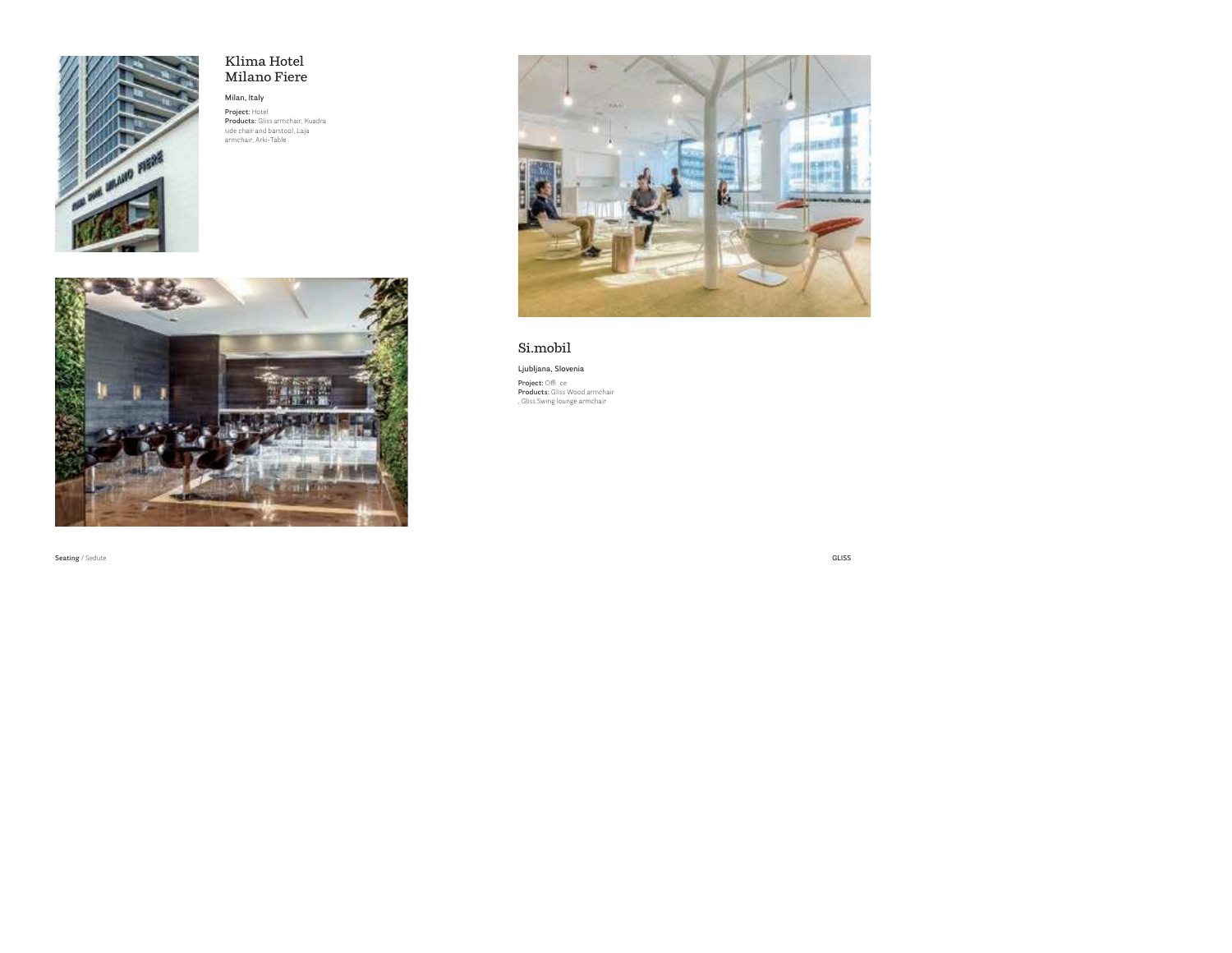

### **Klima HotelMilano Fiere**

#### **Milan, Italy**

**Project:** Hotel **Products:** Gliss armchair, Kuadra side chair and barstool, Laja armchair, Arki-Table





### **Si.mobil**

**Ljubljana, Slovenia**

**Project:** Offi ce **Products:** Gliss Wood armchair , Gliss Swing lounge armchair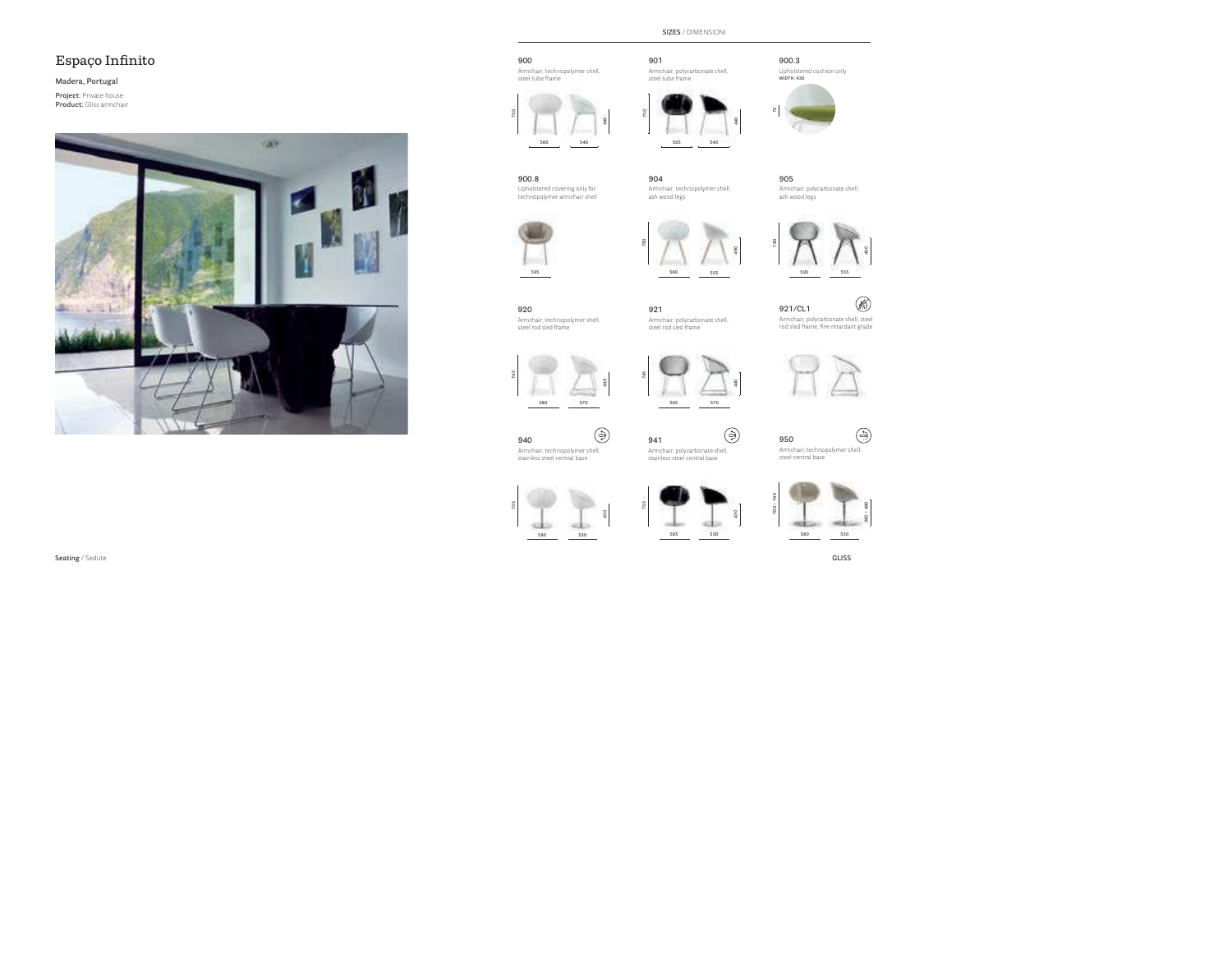### **Espaço Infinito**

#### **Madera, Portugal**

**Project:** Private house **Product:** Gliss armchair



### **900**

Armchair, technopolymer shell, steel tube frame



### **901**

**595**

**730**

**760**

**570 595 570**

**941**

**440**

⊜

steel tube frame



**540**

**440**





**900.8**Upholstered covering only for technopolymer armchair shell

**904**.<br>Armchair, technopolymer shell ash wood legs

**905** Armchair, polycarbonate shell, ash wood legs



**920**

**580**

 Armchair, technopolymer shell, stainless steel central base

**940**

**580 555**



 Armchair, technopolymer shell, steel rod sled frame

**921**.<br>Armchair, polycarbonate shell, steel rod sled frame

**440**

⊜

**460**

Ø8 **921/CL1**Armchair, polycarbonate shell, steel rod sled frame, fi re-retardant grade



| "<br>u<br>┕<br>$\sim$<br>- |  |  |
|----------------------------|--|--|

Armchair, technopolymer shell, steel central base







 Armchair, polycarbonate shell, stainless steel central base

**595**

**530**



(⊖)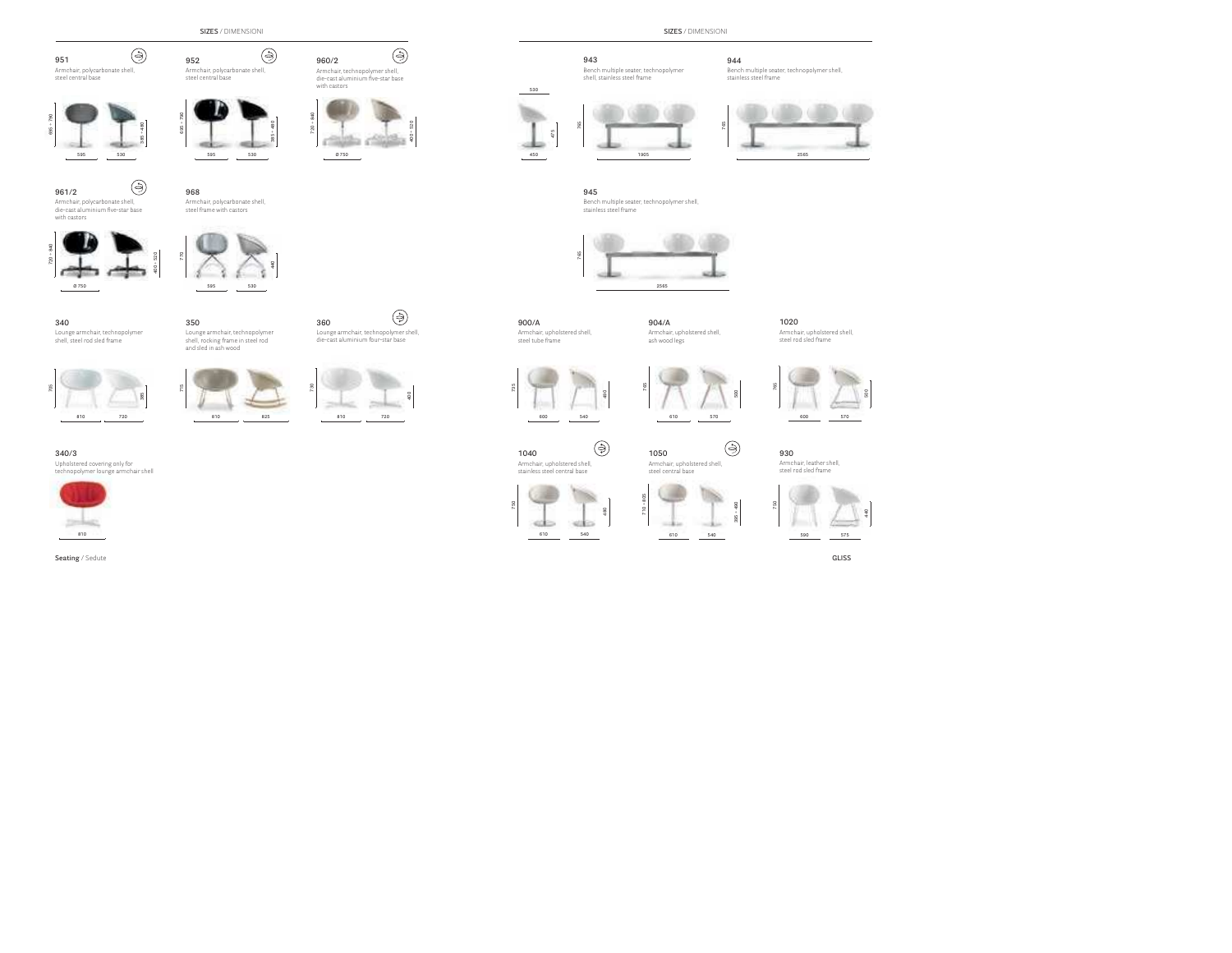**SIZES** / DIMENSIONI

Armchair, polycarbonate shell, steel central base



 Armchair, polycarbonate shell, steel central base

⊜

⊜





**595**

**530**

⊜

**440**



**960/2**



Armchair, technopolymer shell, die-cast aluminium five-star base with castors

(උ)

**961/2**

Armchair, polycarbonate shell, die-cast aluminium five-star base with castors



**770** steel frame with castors

Armchair, polycarbonate shell,

**595530**

**350**

 $\sim$ 

**968**

**952**

#### **340**

Lounge armchair, technopolymer shell, steel rod sled frame



#### **340/3**

.<br>Upholstered covering only for technopolymer lounge armchair shell





Lounge armchair, technopolymer shell, rocking frame in steel rod and sled in ash wood



**360**

Lounge armchair, technopolymer shell, die-cast aluminium four-star base







#### **943**

 Bench multiple seater, technopolymer shell, stainless steel frame

#### **944**

Bench multiple seater, technopolymer shell, stainless steel frame





**765 1905 945** Bench multiple seater, technopolymer shell, stainless steel frame



**900/A**Armchair, upholstered shell, steel tube frame

**475 450**

**530**

**904/A**.<br>Armchair, upholstered shell, ash wood legs

**1020**

 Armchair, upholstered shell, steel rod sled frame







**1040**Armchair, upholstered shell,

⊜

stainless steel central base



**1050** Armchair, upholstered shell, steel central base



**710 ÷ 805**

**395 ÷ 490**

⊜

**750**

**930** Armchair, leather shell, steel rod sled frame

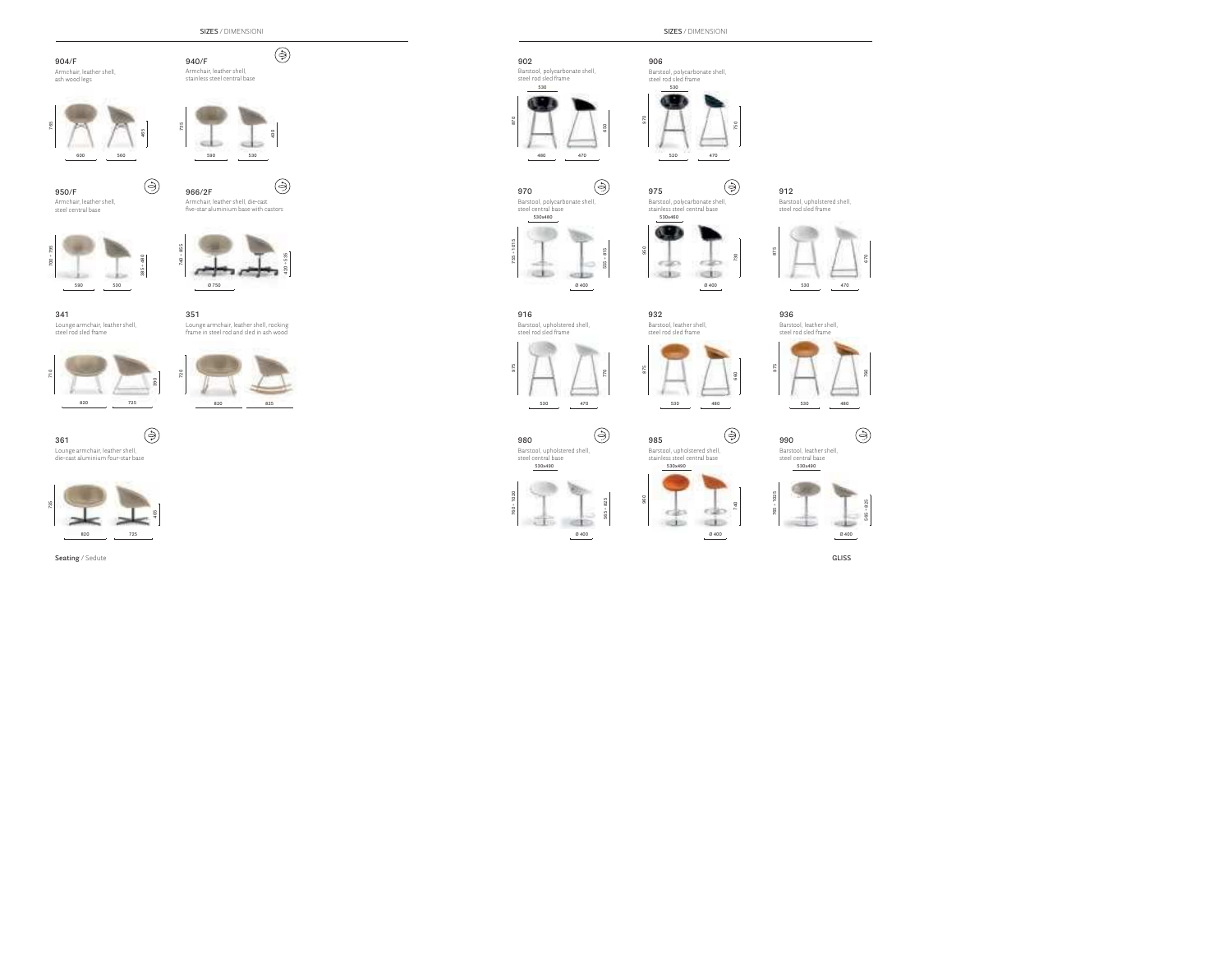**SIZES** / DIMENSIONI

⊜

#### **904/F**Armchair, leather shell,

ash wood legs



⊜



**940/F**Armchair, leather shell, stainless steel central base

**950/F** Armchair, leather shell, steel central base



**341** Lounge armchair, leather shell, steel rod sled frame



⊜ **361**Lounge armchair, leather shell, die-cast aluminium four-star base





Armchair, leather shell, die-cast five-star aluminium base with castors



**351**Lounge armchair, leather shell, rocking



frame in steel rod and sled in ash wood



⊜ **970**.<br>Barstool, polycarbonate shell,

**530**

Barstool, polycarbonate shell steel rod sled frame

**902**

**870**

**480**



**555 ÷ 815**

**470**

**650**

**970**

**950**

**975**

**875**

**960**

**565 ÷ 825**

⊜

**Ø 400**

**932**Barstool, leather shell, steel rod sled frame

**530x460**stainless steel central base

Barstool, polycarbonate shell

 $-20$ **All Service** outer **USER** 

**Ø 400**

**730**

⊜

**660**

⊜

**740**

**875**





Barstool, upholstered shell, steel rod sled frame



**530x490**

**760 ÷ 1020**

 $\frac{5}{2}$  $50$ 

**980**Barstool, upholstered shell, steel central base

**530**

**530x490**

**985**Barstool, upholstered shell, stainless steel central base



**990**

**530x490** Barstool, leather shell, steel central base



**SIZES** / DIMENSIONI

**906** Barstool, polycarbonate shell, steel rod sled frame





steel rod sled frame



**936**

Barstool, leather shell, steel rod sled frame

⊜